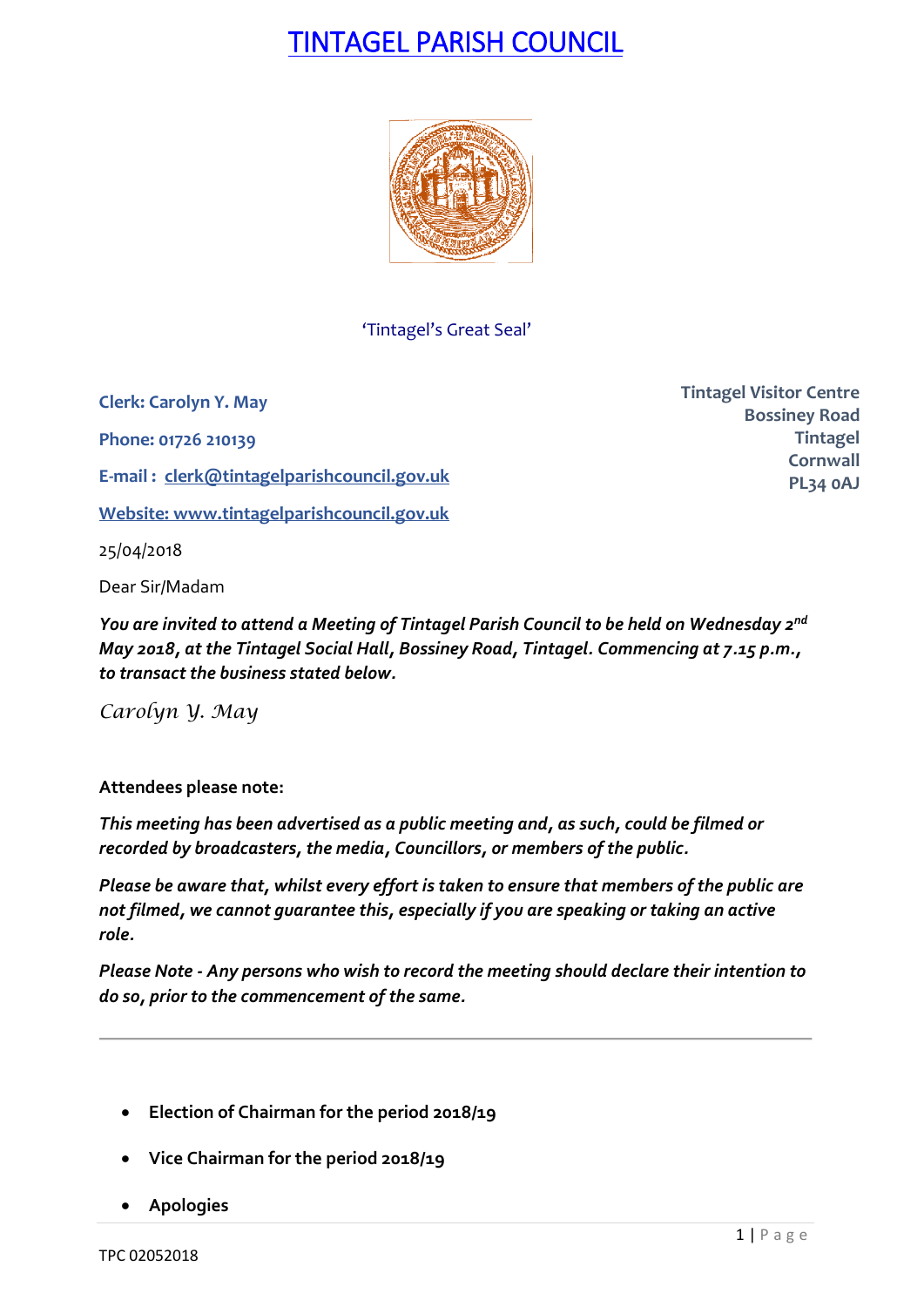# TINTAGEL PARISH COUNCIL



'Tintagel's Great Seal'

**Clerk: Carolyn Y. May Phone: 01726 210139 E-mail : [clerk@tintagelparishcouncil.gov.uk](mailto:clerk@tintagelparishcouncil.gov.uk) Website: [www.tintagelparishcouncil.gov.uk](http://www.tintagelparishcouncil.gov.uk/)** 25/04/2018

Dear Sir/Madam

*You are invited to attend a Meeting of Tintagel Parish Council to be held on Wednesday 2 nd May 2018, at the Tintagel Social Hall, Bossiney Road, Tintagel. Commencing at 7.15 p.m., to transact the business stated below.*

*Carolyn Y. May*

**Attendees please note:**

*This meeting has been advertised as a public meeting and, as such, could be filmed or recorded by broadcasters, the media, Councillors, or members of the public.*

*Please be aware that, whilst every effort is taken to ensure that members of the public are not filmed, we cannot guarantee this, especially if you are speaking or taking an active role.*

*Please Note - Any persons who wish to record the meeting should declare their intention to do so, prior to the commencement of the same.*

- **Election of Chairman for the period 2018/19**
- **Vice Chairman for the period 2018/19**
- **Apologies**

**Tintagel Visitor Centre Bossiney Road Tintagel Cornwall PL34 0AJ**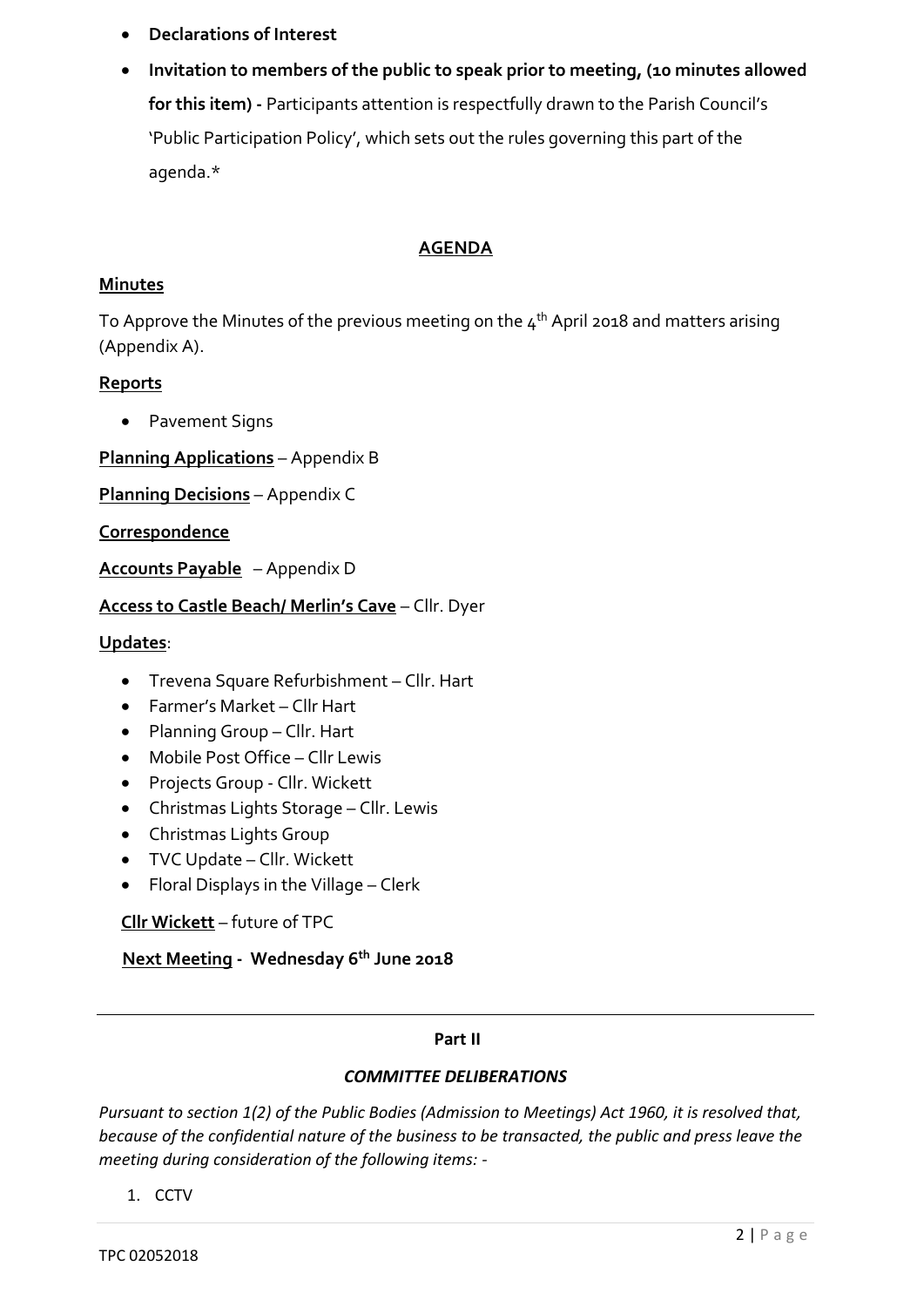- **Declarations of Interest**
- **Invitation to members of the public to speak prior to meeting, (10 minutes allowed for this item) -** Participants attention is respectfully drawn to the Parish Council's 'Public Participation Policy', which sets out the rules governing this part of the agenda.\*

## **AGENDA**

### **Minutes**

To Approve the Minutes of the previous meeting on the  $\mathtt{4^{th}}$  April 2018 and matters arising (Appendix A).

### **Reports**

• Pavement Signs

**Planning Applications** – Appendix B

**Planning Decisions** – Appendix C

### **Correspondence**

**Accounts Payable** – Appendix D

### **Access to Castle Beach/ Merlin's Cave** – Cllr. Dyer

#### **Updates**:

- Trevena Square Refurbishment Cllr. Hart
- Farmer's Market Cllr Hart
- Planning Group Cllr. Hart
- Mobile Post Office Cllr Lewis
- Projects Group Cllr. Wickett
- Christmas Lights Storage Cllr. Lewis
- Christmas Lights Group
- TVC Update Cllr. Wickett
- Floral Displays in the Village Clerk

**Cllr Wickett** – future of TPC

 **Next Meeting - Wednesday 6th June 2018**

### **Part II**

### *COMMITTEE DELIBERATIONS*

*Pursuant to section 1(2) of the Public Bodies (Admission to Meetings) Act 1960, it is resolved that, because of the confidential nature of the business to be transacted, the public and press leave the meeting during consideration of the following items: -*

1. CCTV